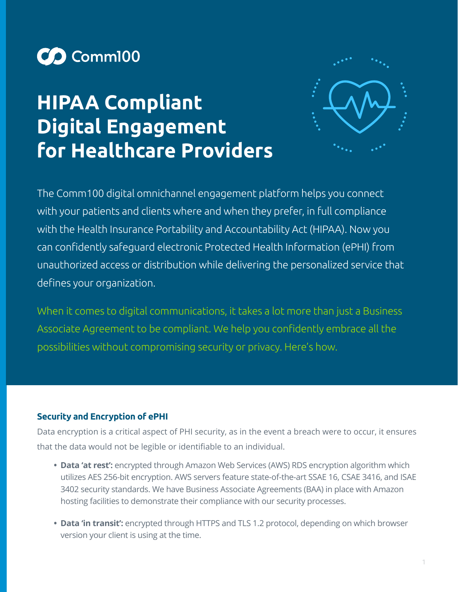

# **HIPAA Compliant Digital Engagement for Healthcare Providers**



The Comm100 digital omnichannel engagement platform helps you connect with your patients and clients where and when they prefer, in full compliance with the Health Insurance Portability and Accountability Act (HIPAA). Now you can confidently safeguard electronic Protected Health Information (ePHI) from unauthorized access or distribution while delivering the personalized service that defines your organization.

When it comes to digital communications, it takes a lot more than just a Business Associate Agreement to be compliant. We help you confidently embrace all the possibilities without compromising security or privacy. Here's how.

# **Security and Encryption of ePHI**

Data encryption is a critical aspect of PHI security, as in the event a breach were to occur, it ensures that the data would not be legible or identifiable to an individual.

- **• Data 'at rest':** encrypted through Amazon Web Services (AWS) RDS encryption algorithm which utilizes AES 256-bit encryption. AWS servers feature state-of-the-art SSAE 16, CSAE 3416, and ISAE 3402 security standards. We have Business Associate Agreements (BAA) in place with Amazon hosting facilities to demonstrate their compliance with our security processes.
- **• Data 'in transit':** encrypted through HTTPS and TLS 1.2 protocol, depending on which browser version your client is using at the time.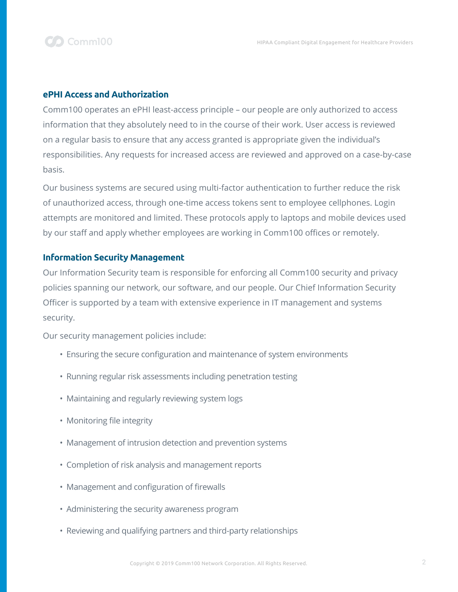

#### **ePHI Access and Authorization**

Comm100 operates an ePHI least-access principle – our people are only authorized to access information that they absolutely need to in the course of their work. User access is reviewed on a regular basis to ensure that any access granted is appropriate given the individual's responsibilities. Any requests for increased access are reviewed and approved on a case-by-case basis.

Our business systems are secured using multi-factor authentication to further reduce the risk of unauthorized access, through one-time access tokens sent to employee cellphones. Login attempts are monitored and limited. These protocols apply to laptops and mobile devices used by our staff and apply whether employees are working in Comm100 offices or remotely.

#### **Information Security Management**

Our Information Security team is responsible for enforcing all Comm100 security and privacy policies spanning our network, our software, and our people. Our Chief Information Security Officer is supported by a team with extensive experience in IT management and systems security.

Our security management policies include:

- Ensuring the secure configuration and maintenance of system environments
- Running regular risk assessments including penetration testing
- Maintaining and regularly reviewing system logs
- Monitoring file integrity
- Management of intrusion detection and prevention systems
- Completion of risk analysis and management reports
- Management and configuration of firewalls
- Administering the security awareness program
- Reviewing and qualifying partners and third-party relationships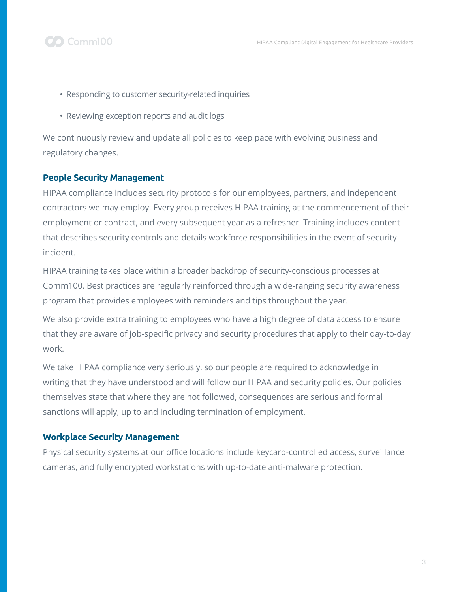

- Responding to customer security-related inquiries
- Reviewing exception reports and audit logs

We continuously review and update all policies to keep pace with evolving business and regulatory changes.

# **People Security Management**

**O** Comm100

HIPAA compliance includes security protocols for our employees, partners, and independent contractors we may employ. Every group receives HIPAA training at the commencement of their employment or contract, and every subsequent year as a refresher. Training includes content that describes security controls and details workforce responsibilities in the event of security incident.

HIPAA training takes place within a broader backdrop of security-conscious processes at Comm100. Best practices are regularly reinforced through a wide-ranging security awareness program that provides employees with reminders and tips throughout the year.

We also provide extra training to employees who have a high degree of data access to ensure that they are aware of job-specific privacy and security procedures that apply to their day-to-day work.

We take HIPAA compliance very seriously, so our people are required to acknowledge in writing that they have understood and will follow our HIPAA and security policies. Our policies themselves state that where they are not followed, consequences are serious and formal sanctions will apply, up to and including termination of employment.

# **Workplace Security Management**

Physical security systems at our office locations include keycard-controlled access, surveillance cameras, and fully encrypted workstations with up-to-date anti-malware protection.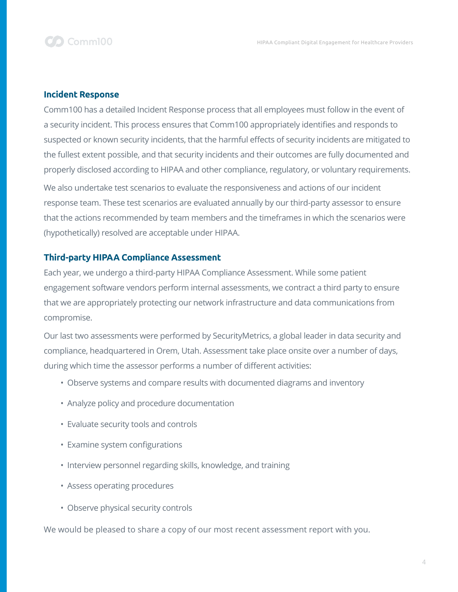

#### **Incident Response**

Comm100 has a detailed Incident Response process that all employees must follow in the event of a security incident. This process ensures that Comm100 appropriately identifies and responds to suspected or known security incidents, that the harmful effects of security incidents are mitigated to the fullest extent possible, and that security incidents and their outcomes are fully documented and properly disclosed according to HIPAA and other compliance, regulatory, or voluntary requirements. We also undertake test scenarios to evaluate the responsiveness and actions of our incident response team. These test scenarios are evaluated annually by our third-party assessor to ensure that the actions recommended by team members and the timeframes in which the scenarios were (hypothetically) resolved are acceptable under HIPAA.

### **Third-party HIPAA Compliance Assessment**

Each year, we undergo a third-party HIPAA Compliance Assessment. While some patient engagement software vendors perform internal assessments, we contract a third party to ensure that we are appropriately protecting our network infrastructure and data communications from compromise.

Our last two assessments were performed by SecurityMetrics, a global leader in data security and compliance, headquartered in Orem, Utah. Assessment take place onsite over a number of days, during which time the assessor performs a number of different activities:

- Observe systems and compare results with documented diagrams and inventory
- Analyze policy and procedure documentation
- Evaluate security tools and controls
- Examine system configurations
- Interview personnel regarding skills, knowledge, and training
- Assess operating procedures
- Observe physical security controls

We would be pleased to share a copy of our most recent assessment report with you.